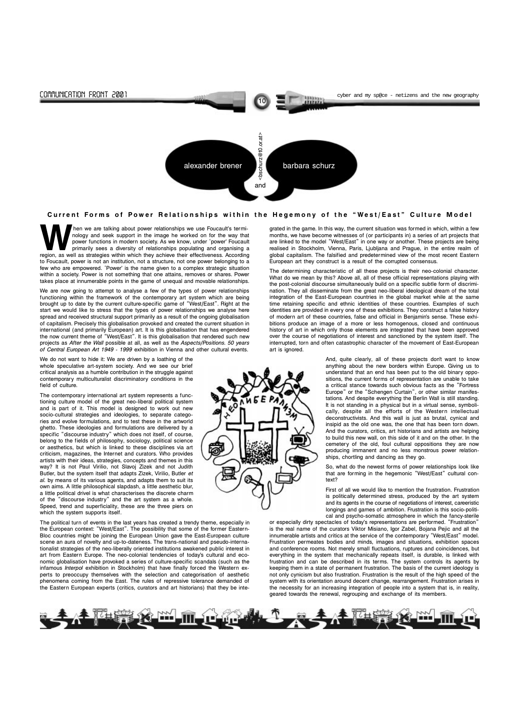Then we are talking about power relationships we use Foucault's terminology and seek support in the image he worked on for the way that power functions in modern society. As we know, under 'power' Foucault primarily sees a nology and seek support in the image he worked on for the way that power functions in modern society. As we know, under 'power' Foucault primarily sees a diversity of relationships populating and organising a to Foucault, power is not an institution, not a structure, not one power belonging to a few who are empowered. 'Power' is the name given to a complex strategic situation within a society. Power is not something that one attains, removes or shares. Power takes place at innumerable points in the game of unequal and movable relationships.

We are now going to attempt to analyse a few of the types of power relationships functioning within the framework of the contemporary art system which are being brought up to date by the current culture-specific game of "West/East". Right at the start we would like to stress that the types of power relationships we analyse here spread and received structural support primarily as a result of the ongoing globalisation of capitalism. Precisely this globalisation provoked and created the current situation in international (and primarily European) art. It is this globalisation that has engendered the now current theme of "West/East". It is this globalisation that rendered such new projects as After the Wall possible at all, as well as the Aspects/Positions. 50 years of Central European Art 1949 - 1999 exhibition in Vienna and other cultural events.

We do not want to hide it: We are driven by a loathing of the whole speculative art-system society. And we see our brief critical analysis as a humble contribution in the struggle against contemporary multiculturalist discriminatory conditions in the field of culture.

The contemporary international art system represents a functioning culture model of the great neo-liberal political system and is part of it. This model is designed to work out new socio-cultural strategies and ideologies, to separate categories and evolve formulations, and to test these in the artworld ghetto. These ideologies and formulations are delivered by a specific "discourse industry" which does not itself, of course, belong to the fields of philosophy, sociology, political science or aesthetics, but which is linked to these disciplines via art criticism, magazines, the Internet and curators. Who provides artists with their ideas, strategies, concepts and themes in this way? It is not Paul Virilio, not Slavoj Zizek and not Judith Butler, but the system itself that adapts Zizek, Virilio, Butler et al. by means of its various agents, and adapts them to suit its own aims. A little philosophical slapdash, a little aesthetic blur, a little political drivel is what characterises the discrete charm of the "discourse industry" and the art system as a whole. Speed, trend and superficiality, these are the three piers on which the system supports itself.

And, quite clearly, all of these projects don't want to know anything about the new borders within Europe. Giving us to understand that an end has been put to the old binary oppositions, the current forms of representation are unable to take a critical stance towards such obvious facts as the "Fortress" Europe" or the "Schengen Curtain", or other similar manifestations. And despite everything the Berlin Wall is still standing. It is not standing in a physical but in a virtual sense, symbolically, despite all the efforts of the Western intellectual deconstructivists. And this wall is just as brutal, cynical and insipid as the old one was, the one that has been torn down. And the curators, critics, art historians and artists are helping to build this new wall, on this side of it and on the other. In the cemetery of the old, foul cultural oppositions they are now producing immanent and no less monstrous power relationships, chortling and dancing as they go.

The political turn of events in the last years has created a trendy theme, especially in the European context: "West/East". The possibility that some of the former Eastern-Bloc countries might be joining the European Union gave the East-European culture scene an aura of novelty and up-to-dateness. The trans-national and pseudo-internationalist strategies of the neo-liberally oriented institutions awakened public interest in art from Eastern Europe. The neo-colonial tendencies of today's cultural and economic globalisation have provoked a series of culture-specific scandals (such as the infamous Interpol exhibition in Stockholm) that have finally forced the Western experts to preoccupy themselves with the selection and categorisation of aesthetic phenomena coming from the East. The rules of repressive tolerance demanded of the Eastern European experts (critics, curators and art historians) that they be inteor especially dirty spectacles of today's representations are performed. "Frustration" is the real name of the curators Viktor Misiano, Igor Zabel, Bojana Pejic and all the innumerable artists and critics at the service of the contemporary "West/East" model. Frustration permeates bodies and minds, images and situations, exhibition spaces and conference rooms. Not merely small fluctuations, ruptures and coincidences, but everything in the system that mechanically repeats itself, is durable, is linked with frustration and can be described in its terms. The system controls its agents by keeping them in a state of permanent frustration. The basis of the current ideology is not only cynicism but also frustration. Frustration is the result of the high speed of the system with its orientation around decent change, rearrangement. Frustration arises in the necessity for an increasing integration of people into a system that is, in reality, geared towards the renewal, regrouping and exchange of its members.







grated in the game. In this way, the current situation was formed in which, within a few months, we have become witnesses of (or participants in) a series of art projects that are linked to the model "West/East" in one way or another. These projects are being realised in Stockholm, Vienna, Paris, Ljubljana and Prague, in the entire realm of global capitalism. The falsified and predetermined view of the most recent Eastern European art they construct is a result of the corrupted consensus.

The determining characteristic of all these projects is their neo-colonial character. What do we mean by this? Above all, all of these official representations playing with the post-colonial discourse simultaneously build on a specific subtle form of discrimination. They all disseminate from the great neo-liberal ideological dream of the total integration of the East-European countries in the global market while at the same time retaining specific and ethnic identities of these countries. Examples of such identities are provided in every one of these exhibitions. They construct a false history of modern art of these countries, false and official in Benjamin's sense. These exhibitions produce an image of a more or less homogenous, closed and continuous history of art in which only those elements are integrated that have been approved over the course of negotiations of interest and sanctioned by the system itself. The interrupted, torn and often catastrophic character of the movement of East-European art is ignored.

> So, what do the newest forms of power relationships look like that are forming in the hegemonic "West/East" cultural context?

> First of all we would like to mention the frustration. Frustration is politically determined stress, produced by the art system and its agents in the course of negotiations of interest, careeristic longings and games of ambition. Frustration is this socio-political and psycho-somatic atmosphere in which the fancy-sterile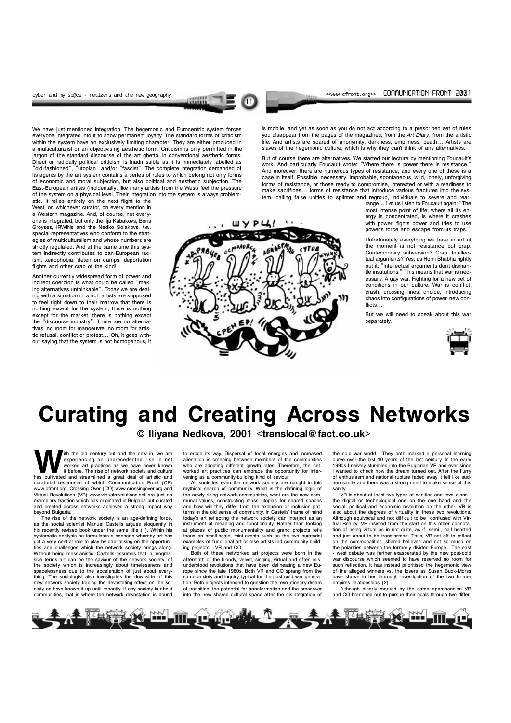11

cyber and my sp@ce - netizens and the new geography  $\sim$  (cyber and my sp@ce - netizens and the new geography

We have just mentioned integration. The hegemonic and Eurocentric system forces everyone integrated into it to show permanent loyalty. The standard forms of criticism within the system have an exclusively limiting character: They are either produced in a multiculturalist or an objectivising aesthetic form. Criticism is only permitted in the jargon of the standard discourse of the art ghetto, in conventional aesthetic forms. Direct or radically political criticism is inadmissible as it is immediately labelled as "old-fashioned", "utopian" and/or "fascist". The complete integration demanded of its agents by the art system contains a series of rules to which belong not only forms of economic and moral subjection, but also political and aesthetic subjection. The East-European artists (incidentally, like many artists from the West) feel the pressure of the system on a physical level. Their integration into the system is always problem-

atic. It relies entirely on the next flight to the West, on whichever curator, on every mention in a Western magazine. And, of course, not everyone is integrated, but only the Ilja Kabakovs, Boris Groyses, IRWINs and the Nedko Solakovs, i.e., special representatives who conform to the strategies of multiculturalism and whose numbers are strictly regulated. And at the same time this system indirectly contributes to pan-European racism, xenophobia, detention camps, deportation flights and other crap of the kind!

But of course there are alternatives. We started our lecture by mentioning Foucault's work. And particularly Foucault wrote: "Where there is power there is resistance." And moreover: there are numerous types of resistance, and every one of these is a case in itself. Possible, necessary, improbable, spontaneous, wild, lonely, unforgiving forms of resistance, or those ready to compromise, interested or with a readiness to make sacrifices... forms of resistance that introduce various fractures into the system, calling false unities to splinter and regroup, individuals to severe and rear-

range... Let us listen to Foucault again: "The most intense point of life, where all its energy is concentrated, is where it crashes with power, fights power and tries to use power's force and escape from its traps."

Unfortunately everything we have in art at the moment is not resistance but crap. Contemporary subversion? Crap. Intellectual arguments? Yes, as Homi Bhabha rightly put it: "Intellectual arguments don't dismantle institutions." This means that war is necessary. A gay war. Fighting for a new set of conditions in our culture. War is conflict, crash, crossing lines, choice, introducing chaos into configurations of power, new conflicts...

Another currently widespread form of power and indirect coercion is what could be called "making alternatives unthinkable". Today we are dealing with a situation in which artists are supposed to feel right down to their marrow that there is nothing except for the system, there is nothing except for the market, there is nothing except the "discourse industry". There are no alternatives, no room for manoeuvre, no room for artistic refusal, conflict or protest... Oh, it goes without saying that the system is not homogenous, it

With the old century out and the new in, we are<br>experiencing an unprecedented rise in net<br>worked art practices as we have never known<br>it before. The rise of network society and culture<br>has cultivated and streamlined a grea experiencing an unprecedented rise in net worked art practices as we have never known it before. The rise of network society and culture curatorial responses of which Communication Front (CF) www.cfront.org, Crossing Over (CO) www.crossingover.org and Virtual Revolutions (VR) www.virtualrevolutions.net are just an exemplary fraction which has originated in Bulgaria but curated and created across networks achieved a strong impact way beyond Bulgaria.

is mobile, and yet as soon as you do not act according to a prescribed set of rules you disappear from the pages of the magazines, from the Art Diary, from the artistic life. And artists are scared of anonymity, darkness, emptiness, death... Artists are slaves of the hegemonic culture, which is why they cant think of any alternatives.

> But we will need to speak about this war separately.



The rise of the network society is an age-defining force, as the social scientist Manuel Castells argues eloquently in his recently revised book under the same title (1). Within his systematic analysis he formulates a scenario whereby art has got a very central role to play by capitalising on the opportunities and challenges which the network society brings along. Without being messianistic, Castells assumes that in progressive terms art can be the saviour of the network society, of the society which is increasingly about timelessness and spacelessness due to the acceleration of just about everything. The sociologist also investigates the downside of this new network society tracing the devastating effect on the society as have known it up until recently. If any society is about communities, that is where the network devastation is bound

to erode its way. Dispersal of local energies and increased alienation is creeping between members of the communities who are adopting different growth rates. Therefore, the networked art practices can embrace the opportunity for intervening as a community-building kind of saviour.

All societies even the network society are caught in this mythical search of community. What is the defining logic of the newly rising network communities, what are the new communal values, constructing mass utopias for shared spaces and how will they differ from the exclusion or inclusion patterns in the old sense of community. In Castells' frame of mind today's art reflecting the network society can interject as an instrument of meaning and functionality. Rather than looking at places of public monumentality and grand projects let's focus on small-scale, mini-events such as the two curatorial examples of functional art or else artists-led community-build-

ing projects - VR and CO.

Both of these networked art projects were born in the aftermath of the bloody, velvet, singing, virtual and often misunderstood revolutions that have been delineating a new Europe since the late 1980s. Both VR and CO sprang from the same anxiety and inquiry typical for the post-cold war generation. Both projects intended to question the revolutionary dream of transition, the potential for transformation and the crossover into the new shared cultural space after the disintegration of

the cold war world. They both marked a personal learning curve over the last 10 years of the last century. In the early 1990s I naively stumbled into the Bulgarian VR and ever since I wanted to check how the dream turned out. After the flurry of enthusiasm and national rupture faded away it felt like sudden sanity and there was a strong need to make sense of this sanity.

VR is about at least two types of sanities and revolutions the digital or technological one on the one hand and the social, political and economic revolution on the other. VR is also about the degrees of virtuality in these two revolutions. Although equivocal and not difficult to be confused with Virtual Reality, VR insisted from the start on this other connotation of being virtual as in not quite, as if, semi-, half-hearted and just about to be transformed. Thus, VR set off to reflect on the commonalities, shared believes and not so much on the polarities between the formerly divided Europe. The east - west debate was further exasperated by the new post-cold war discourse which seemed to have reserved no room for such reflection. It has instead prioritised the hegemonic view of the alleged winners vs. the losers as Susan Buck-Morss have shown in her thorough investigation of the two former empires relationships (2).

Although clearly marked by the same apprehension VR and CO branched out to pursue their goals through two differ-



# Curating and Creating Across Networks

© Iliyana Nedkova, 2001 <translocal@fact.co.uk>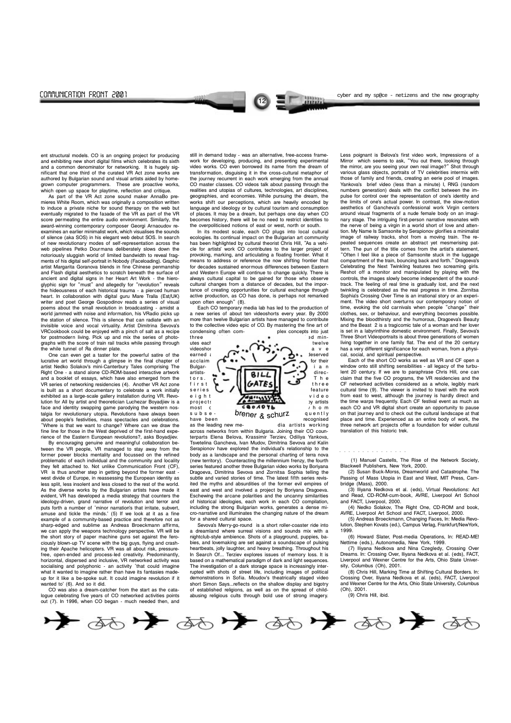12

communication front 2001 cyber and my sp@ce - netizens and the new geography

As part of the VR Act zone sound maker AnnaBo premieres White Room, which was originally a composition written to induce a private niche for sound therapy on the web but eventually migrated to the façade of the VR as part of the VR score permeating the entire audio environment. Similarly, the award-winning contemporary composer Georgi Arnaoudov reexamines an earlier minimalist work, which visualises the sounds of silence (aka SOS) in his elegant web debut SOS. In search of new revolutionary modes of self-representation across the web pipelines Petko Dourmana deliberately slows down the notoriously sluggish world of limited bandwidth to reveal fragments of his digital self-portrait in Nobody (Faceloading). Graphic artist Margarita Goranova blends in fine Chinese penmanship and Flash digital aesthetics to scratch beneath the surface of ancient and digital signs in her Heart Art Work - the hieroglyphic sign for "must" and allegedly for "revolution" reveals the hideousness of each historical trauma - a pierced human heart. In collaboration with digital guru Mare Tralla (Est/UK) writer and poet George Gospodinov reads a series of visual poems about the small revolution in broadcasting - amidst a world jammed with noise and information, his VRadio picks up the station of silence. This is silence that can radiate with an invisible voice and vocal virtuality. Artist Dimitrina Sevova's VRCookbook could be enjoyed with a pinch of salt as a recipe for postmodern living. Pick up and mix the series of photographs with the score of train rail tracks while passing through the while tunnel of Aa dinner plate.

ent structural models. CO is an ongoing project for producing and exhibiting new short digital films which celebrates its sixth and a common denominator for networking. It is hugely significant that one third of the curated VR Act zone works are authored by Bulgarian sound and visual artists aided by homegrown computer programmers. These are proactive works, which open up space for playtime, reflection and critique.

By encouraging genuine and meaningful collaboration between the VR people, VR managed to stay away from the former power blocks mentality and focussed on the refined problematic of each individual and the community and locality they felt attached to. Not unlike Communication Front (CF), VR is thus another step in getting beyond the former east west divide of Europe, in reassessing the European identity as less split, less insolent and less closed to the rest of the world. As the diverse works by the Bulgarian artists have made it evident, VR has developed a media strategy that counters the ideology-driven, grand narrative of revolution and terror and puts forth a number of 'minor narration's that irritate, subvert, amuse and tickle the minds.' (5) If we look at it as a fine example of a community-based practice and therefore not as sharp-edged and sublime as Andreas Broeckmann affirms, we can apply the weapons technology perspective. VR will be the short story of paper machine guns set against the ferociously blown-up TV scene with the big guys, flying and crashing their Apache helicopters. VR was all about risk, pressurefree, open-ended and process-led creativity. Predominantly, horizontal, dispersed and inclusive, VR networked activity was socialising and polyphonic - an activity 'that could imagine what it wanted to imagine rather than have its fantasies madeup for it like a be-spoke suit. It could imagine revolution if it wanted to' (6). And so it did.

One can even get a taster for the powerful satire of the lucrative art world through a glimpse in the final chapter of artist Nedko Solakov's mini-Canterbury Tales comprising The Right One - a stand alone CD-ROM-based interactive artwork and a booklet of essays, which have also emerged from the VR series of networking residencies (4). Another VR Act zone is built as a short documentary to celebrate a work initially exhibited as a large-scale gallery installation during VR. Revolution for All by artist and theoretician Luchezar Boyadjiev is a face and identity swapping game parodying the western nostalgia for revolutionary utopia. Revolutions have always been about people's festivities, mass spectacles and celebrations. Where is that we want to change? Where can we draw the fine line for those in the West deprived of the first-hand experience of the Eastern European revolutions?, asks Boyadjiev.

In its modest scale, each CO plugs into local cultural ecologies. Its continual impact on the Bulgarian art community has been highlighted by cultural theorist Chris Hill. "As a vehicle for artists' work CO contributes to the larger project of provoking, marking, and articulating a floating frontier. What it means to address or reference the now shifting frontier that for decades sustained enormous differences between Eastern and Western Europe will continue to change quickly. There is always cultural capital to be gained for those who observe cultural changes from a distance of decades, but the importance of creating opportunities for cultural exchange through active production, as CO has done, is perhaps not remarked upon often enough" (8).

Each CO temporary media lab has led to the production of a new series of about ten videoshorts every year. By 2000 more than twelve Bulgarian artists have managed to contribute to the collective video epic of CO. By mastering the fine art of condensing often com-<br>plex concepts into just plex concepts into just

Sevova's Merry-go-round is a short roller-coaster ride into a dreamland where surreal visions and sounds mix with a nightclub-style ambience. Shots of a playground, puppies, babies, and lovemaking are set against a soundscape of pulsing heartbeats, jolly laughter, and heavy breathing. Throughout his In Search Of... Terziev explores issues of memory loss. It is based on a mathematical paradigm of dark and light sequences. The investigation of a dark storage space is increasingly interrupted with shots of street life, including images of political demonstrations in Sofia. Moudov's theatrically staged video short Simon Says...reflects on the shallow display and bigotry of established religions, as well as on the spread of childabusing religious cults through bold use of strong imagery.

CO was also a dream-catcher from the start as the catalogue celebrating five years of CO networked activities points out (7). In 1996, when CO began - much needed then, and

still in demand today - was an alternative, free-access framework for developing, producing, and presenting experimental video works. CO even borrowed its name from the dream of transformation, disguising it in the cross-cultural metaphor of the journey recurrent in each work emerging from the annual CO master classes. CO videos talk about passing through the realities and utopias of cultures, technologies, art disciplines, geographies, and economies. While pursuing the dream, the works shift our perceptions, which are heavily encoded by language and ideology or by cultural tourism and consumption of places. It may be a dream, but perhaps one day when CO becomes history, there will be no need to restrict identities to the overpoliticised notions of east or west, north or south.

Less poignant is Belova's first video work, Impressions of a Mirror which seems to ask, "You out there, looking through the mirror, are you seeing your own real image?" Shot through various glass objects, portraits of TV celebrities intermix with those of family and friends, creating an eerie pool of images. Yankova's brief video (less than a minute) I, RNG (random numbers generation) deals with the conflict between the impulse for control over the representation of one's identity and the limits of one's actual power. In contrast, the slow-motion aesthetics of Gancheva's confessional work Virgin centers around visual fragments of a nude female body on an imaginary stage. The intriguing first-person narrative resonates with the nerve of being a virgin in a world short of love and attention. My Name Is Samsonite by Serapionov glorifies a minimalist image of railway tracks, shot from a moving train. The repeated sequences create an abstract yet mesmerising pattern. The pun of the title comes from the artist's statement, Often I feel like a piece of Samsonite stuck in the luggage compartment of the train, bouncing back and forth." Dragoeva's Celebrating the Next Twinkling features two screaming girls. Reshot off a monitor and manipulated by playing with the controls, the images slowly become independent of the soundtrack. The feeling of real time is gradually lost, and the next twinkling is celebrated as the real progress in time. Zornitsa Sophia's Crossing Over Time is an irrational story or an experiment. The video short overturns our contemporary notion of time, evoking the old carnivals when people "change" their clothes, sex, or behaviour, and everything becomes possible. Mixing the bloodthirsty and the humorous, Dragoeva's Beauty and the Beast 2 is a tragicomic tale of a woman and her lover is set in a labyrinthine domestic environment. Finally, Sevova's Three Short Videoportraits is about three generations of women living together in one family flat. The end of the 20 century has a very different significance for each woman, from a physical, social, and spiritual perspective.



across networks from within Bulgaria. Joining their CO counterparts Elena Belova, Krassimir Terziev, Odiliya Yankova, Tsvetelina Gancheva, Ivan Mudov, Dimitrina Sevova and Kalin Serapionov have explored the individual's relationship to the body as a landscape and the personal charting of terra nova (new territory). Counteracting the millennium frenzy, the fourth series featured another three Bulgarian video works by Boriyana Dragoeva, Dimitrina Sevova and Zornitsa Sophia telling the subtle and varied stories of time. The latest fifth series revisited the myths and absurdities of the former evil empires of east and west and involved a project by Boriyana Dragoeva. Eschewing the arcane polarities and the uncanny similarities of historical ideologies, each work in each CO compilation, including the strong Bulgarian works, generates a dense micro-narrative and illuminates the changing nature of the dream for a shared cultural space.

Each of the short CO works as well as VR and CF open a window onto still shifting sensibilities - all legacy of the turbulent 20 century. If we are to paraphrase Chris Hill, one can claim that the five CO programs, the VR residencies and the CF networked activities considered as a whole, legibly mark cultural time (9). The viewer is invited to travel with the work from east to west, although the journey is hardly direct and the time warps frequently. Each CF festival event as much as each CO and VR digital short create an opportunity to pause on that journey and to check out the cultural landscape at that place and time. Experienced as an entire body of work, the three network art projects offer a foundation for wider cultural translation of this historic trek.

 (1) Manuel Castells, The Rise of the Network Society, Blackwell Publishers, New York, 2000.

(2) Susan Buck-Morss, Dreamworld and Catastrophe. The Passing of Mass Utopia in East and West, MIT Press, Cambridge (Mass), 2000.

(3) Iliyana Nedkova et al. (eds), Virtual Revolutions: Act and Read, CD-ROM-cum-book, AVRE, Liverpool Art School and FACT, Liverpool, 2000.

(4) Nedko Solakov, The Right One, CD-ROM and book, AVRE, Liverpool Art School and FACT, Liverpool, 2000.

(5) Andreas Broeckmann, Changing Faces, In: Media Revolution, Stephen Kovats (ed.), Campus Verlag, Frankfurt/NewYork, 1999.

(6) Howard Slater, Post-media Operations, In: READ-ME! Nettime (eds.), Autonomedia, New York, 1999.

(7) Iliyana Nedkova and Nina Czegledy, Crossing Over Dreams. In: Crossing Over, Iliyana Nedkova et al. (eds), FACT, Liverpool and Wexner Centre for the Arts, Ohio State University, Columbus (Oh), 2001.

(8) Chris Hill, Marking Time at Shifting Cultural Borders. In: Crossing Over, Iliyana Nedkova et al. (eds), FACT, Liverpool and Wexner Centre for the Arts, Ohio State University, Columbus (Oh), 2001.

(9) Chris Hill, ibid.

#### a a a a a a a a a a a a aaa